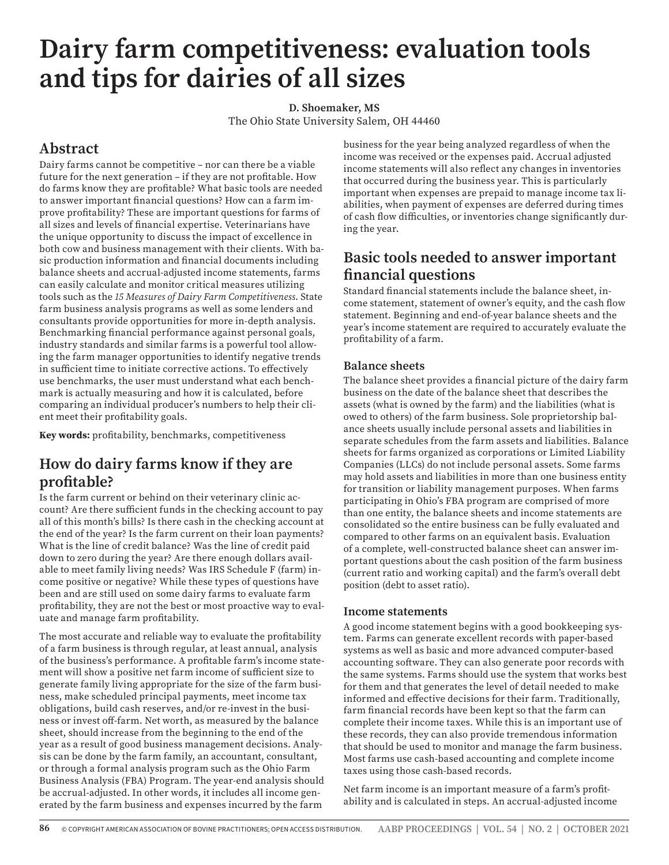# **Dairy farm competitiveness: evaluation tools and tips for dairies of all sizes**

**D. Shoemaker, MS** The Ohio State University Salem, OH 44460

# **Abstract**

Dairy farms cannot be competitive – nor can there be a viable future for the next generation – if they are not profitable. How do farms know they are profitable? What basic tools are needed to answer important financial questions? How can a farm improve profitability? These are important questions for farms of all sizes and levels of financial expertise. Veterinarians have the unique opportunity to discuss the impact of excellence in both cow and business management with their clients. With basic production information and financial documents including balance sheets and accrual-adjusted income statements, farms can easily calculate and monitor critical measures utilizing tools such as the *15 Measures of Dairy Farm Competitiveness*. State farm business analysis programs as well as some lenders and consultants provide opportunities for more in-depth analysis. Benchmarking financial performance against personal goals, industry standards and similar farms is a powerful tool allowing the farm manager opportunities to identify negative trends in sufficient time to initiate corrective actions. To effectively use benchmarks, the user must understand what each benchmark is actually measuring and how it is calculated, before comparing an individual producer's numbers to help their client meet their profitability goals.

**Key words:** profitability, benchmarks, competitiveness

### **How do dairy farms know if they are profitable?**

Is the farm current or behind on their veterinary clinic account? Are there sufficient funds in the checking account to pay all of this month's bills? Is there cash in the checking account at the end of the year? Is the farm current on their loan payments? What is the line of credit balance? Was the line of credit paid down to zero during the year? Are there enough dollars available to meet family living needs? Was IRS Schedule F (farm) income positive or negative? While these types of questions have been and are still used on some dairy farms to evaluate farm profitability, they are not the best or most proactive way to evaluate and manage farm profitability.

The most accurate and reliable way to evaluate the profitability of a farm business is through regular, at least annual, analysis of the business's performance. A profitable farm's income statement will show a positive net farm income of sufficient size to generate family living appropriate for the size of the farm business, make scheduled principal payments, meet income tax obligations, build cash reserves, and/or re-invest in the business or invest off-farm. Net worth, as measured by the balance sheet, should increase from the beginning to the end of the year as a result of good business management decisions. Analysis can be done by the farm family, an accountant, consultant, or through a formal analysis program such as the Ohio Farm Business Analysis (FBA) Program. The year-end analysis should be accrual-adjusted. In other words, it includes all income generated by the farm business and expenses incurred by the farm

business for the year being analyzed regardless of when the income was received or the expenses paid. Accrual adjusted income statements will also reflect any changes in inventories that occurred during the business year. This is particularly important when expenses are prepaid to manage income tax liabilities, when payment of expenses are deferred during times of cash flow difficulties, or inventories change significantly during the year.

## **Basic tools needed to answer important financial questions**

Standard financial statements include the balance sheet, income statement, statement of owner's equity, and the cash flow statement. Beginning and end-of-year balance sheets and the year's income statement are required to accurately evaluate the profitability of a farm.

#### **Balance sheets**

The balance sheet provides a financial picture of the dairy farm business on the date of the balance sheet that describes the assets (what is owned by the farm) and the liabilities (what is owed to others) of the farm business. Sole proprietorship balance sheets usually include personal assets and liabilities in separate schedules from the farm assets and liabilities. Balance sheets for farms organized as corporations or Limited Liability Companies (LLCs) do not include personal assets. Some farms may hold assets and liabilities in more than one business entity for transition or liability management purposes. When farms participating in Ohio's FBA program are comprised of more than one entity, the balance sheets and income statements are consolidated so the entire business can be fully evaluated and compared to other farms on an equivalent basis. Evaluation of a complete, well-constructed balance sheet can answer important questions about the cash position of the farm business (current ratio and working capital) and the farm's overall debt position (debt to asset ratio).

#### **Income statements**

A good income statement begins with a good bookkeeping system. Farms can generate excellent records with paper-based systems as well as basic and more advanced computer-based accounting software. They can also generate poor records with the same systems. Farms should use the system that works best for them and that generates the level of detail needed to make informed and effective decisions for their farm. Traditionally, farm financial records have been kept so that the farm can complete their income taxes. While this is an important use of these records, they can also provide tremendous information that should be used to monitor and manage the farm business. Most farms use cash-based accounting and complete income taxes using those cash-based records.

Net farm income is an important measure of a farm's profitability and is calculated in steps. An accrual-adjusted income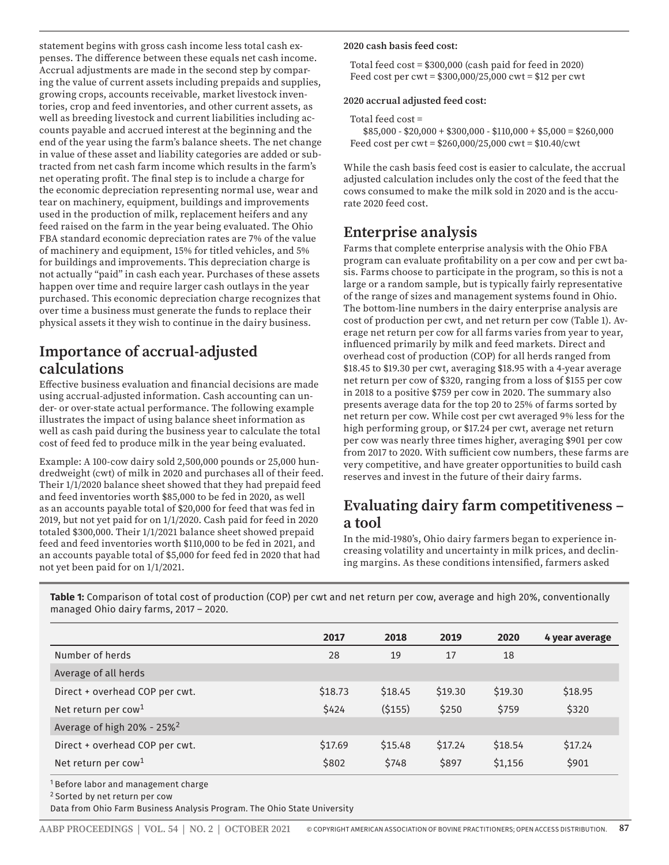statement begins with gross cash income less total cash expenses. The difference between these equals net cash income. Accrual adjustments are made in the second step by comparing the value of current assets including prepaids and supplies, growing crops, accounts receivable, market livestock inventories, crop and feed inventories, and other current assets, as well as breeding livestock and current liabilities including accounts payable and accrued interest at the beginning and the end of the year using the farm's balance sheets. The net change in value of these asset and liability categories are added or subtracted from net cash farm income which results in the farm's net operating profit. The final step is to include a charge for the economic depreciation representing normal use, wear and tear on machinery, equipment, buildings and improvements used in the production of milk, replacement heifers and any feed raised on the farm in the year being evaluated. The Ohio FBA standard economic depreciation rates are 7% of the value of machinery and equipment, 15% for titled vehicles, and 5% for buildings and improvements. This depreciation charge is not actually "paid" in cash each year. Purchases of these assets happen over time and require larger cash outlays in the year purchased. This economic depreciation charge recognizes that over time a business must generate the funds to replace their physical assets it they wish to continue in the dairy business.

# **Importance of accrual-adjusted calculations**

Effective business evaluation and financial decisions are made using accrual-adjusted information. Cash accounting can under- or over-state actual performance. The following example illustrates the impact of using balance sheet information as well as cash paid during the business year to calculate the total cost of feed fed to produce milk in the year being evaluated.

Example: A 100-cow dairy sold 2,500,000 pounds or 25,000 hundredweight (cwt) of milk in 2020 and purchases all of their feed. Their 1/1/2020 balance sheet showed that they had prepaid feed and feed inventories worth \$85,000 to be fed in 2020, as well as an accounts payable total of \$20,000 for feed that was fed in 2019, but not yet paid for on 1/1/2020. Cash paid for feed in 2020 totaled \$300,000. Their 1/1/2021 balance sheet showed prepaid feed and feed inventories worth \$110,000 to be fed in 2021, and an accounts payable total of \$5,000 for feed fed in 2020 that had not yet been paid for on 1/1/2021.

#### **2020 cash basis feed cost:**

Total feed cost = \$300,000 (cash paid for feed in 2020) Feed cost per cwt = \$300,000/25,000 cwt = \$12 per cwt

#### **2020 accrual adjusted feed cost:**

```
Total feed cost =
```

```
$85,000 - $20,000 + $300,000 - $110,000 + $5,000 = $260,000Feed cost per cwt = $260,000/25,000 cwt = $10.40/cwt
```
While the cash basis feed cost is easier to calculate, the accrual adjusted calculation includes only the cost of the feed that the cows consumed to make the milk sold in 2020 and is the accurate 2020 feed cost.

### **Enterprise analysis**

Farms that complete enterprise analysis with the Ohio FBA program can evaluate profitability on a per cow and per cwt basis. Farms choose to participate in the program, so this is not a large or a random sample, but is typically fairly representative of the range of sizes and management systems found in Ohio. The bottom-line numbers in the dairy enterprise analysis are cost of production per cwt, and net return per cow (Table 1). Average net return per cow for all farms varies from year to year, influenced primarily by milk and feed markets. Direct and overhead cost of production (COP) for all herds ranged from \$18.45 to \$19.30 per cwt, averaging \$18.95 with a 4-year average net return per cow of \$320, ranging from a loss of \$155 per cow in 2018 to a positive \$759 per cow in 2020. The summary also presents average data for the top 20 to 25% of farms sorted by net return per cow. While cost per cwt averaged 9% less for the high performing group, or \$17.24 per cwt, average net return per cow was nearly three times higher, averaging \$901 per cow from 2017 to 2020. With sufficient cow numbers, these farms are very competitive, and have greater opportunities to build cash reserves and invest in the future of their dairy farms.

## **Evaluating dairy farm competitiveness – a tool**

In the mid-1980's, Ohio dairy farmers began to experience increasing volatility and uncertainty in milk prices, and declining margins. As these conditions intensified, farmers asked

|                                        | 2017    | 2018    | 2019    | 2020    | 4 year average |
|----------------------------------------|---------|---------|---------|---------|----------------|
| Number of herds                        | 28      | 19      | 17      | 18      |                |
| Average of all herds                   |         |         |         |         |                |
| Direct + overhead COP per cwt.         | \$18.73 | \$18.45 | \$19.30 | \$19.30 | \$18.95        |
| Net return per cow <sup>1</sup>        | \$424   | (5155)  | \$250   | \$759   | \$320          |
| Average of high 20% - 25% <sup>2</sup> |         |         |         |         |                |
| Direct + overhead COP per cwt.         | \$17.69 | \$15.48 | \$17.24 | \$18.54 | \$17.24        |
| Net return per cow <sup>1</sup>        | \$802   | \$748   | \$897   | \$1,156 | \$901          |
|                                        |         |         |         |         |                |

<sup>1</sup> Before labor and management charge

2 Sorted by net return per cow

Data from Ohio Farm Business Analysis Program. The Ohio State University

**Table 1:** Comparison of total cost of production (COP) per cwt and net return per cow, average and high 20%, conventionally managed Ohio dairy farms, 2017 – 2020.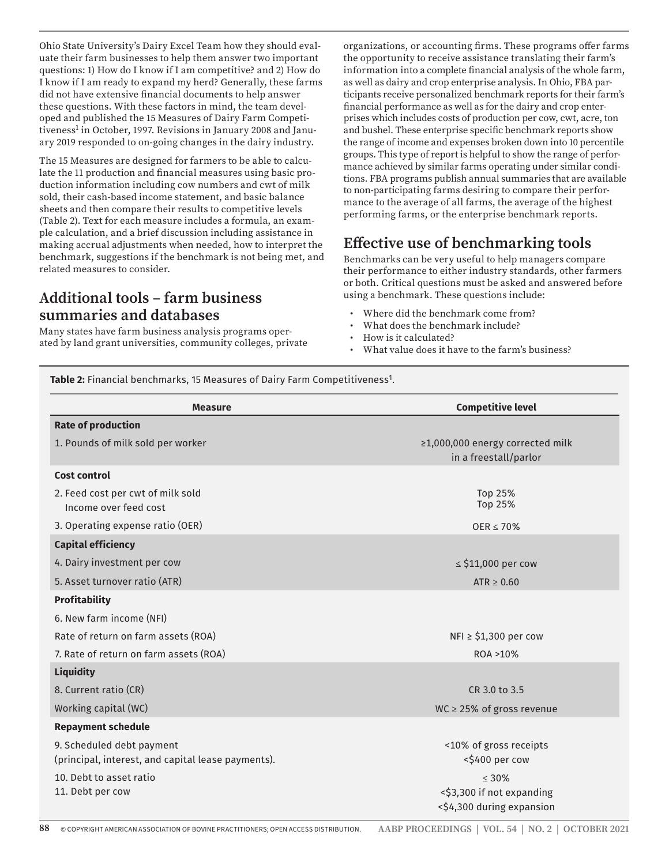Ohio State University's Dairy Excel Team how they should evaluate their farm businesses to help them answer two important questions: 1) How do I know if I am competitive? and 2) How do I know if I am ready to expand my herd? Generally, these farms did not have extensive financial documents to help answer these questions. With these factors in mind, the team developed and published the 15 Measures of Dairy Farm Competitiveness<sup>1</sup> in October, 1997. Revisions in January 2008 and January 2019 responded to on-going changes in the dairy industry.

The 15 Measures are designed for farmers to be able to calculate the 11 production and financial measures using basic production information including cow numbers and cwt of milk sold, their cash-based income statement, and basic balance sheets and then compare their results to competitive levels (Table 2). Text for each measure includes a formula, an example calculation, and a brief discussion including assistance in making accrual adjustments when needed, how to interpret the benchmark, suggestions if the benchmark is not being met, and related measures to consider.

# **Additional tools – farm business summaries and databases**

Many states have farm business analysis programs operated by land grant universities, community colleges, private organizations, or accounting firms. These programs offer farms the opportunity to receive assistance translating their farm's information into a complete financial analysis of the whole farm, as well as dairy and crop enterprise analysis. In Ohio, FBA participants receive personalized benchmark reports for their farm's financial performance as well as for the dairy and crop enterprises which includes costs of production per cow, cwt, acre, ton and bushel. These enterprise specific benchmark reports show the range of income and expenses broken down into 10 percentile groups. This type of report is helpful to show the range of performance achieved by similar farms operating under similar conditions. FBA programs publish annual summaries that are available to non-participating farms desiring to compare their performance to the average of all farms, the average of the highest performing farms, or the enterprise benchmark reports.

# **Effective use of benchmarking tools**

Benchmarks can be very useful to help managers compare their performance to either industry standards, other farmers or both. Critical questions must be asked and answered before using a benchmark. These questions include:

- Where did the benchmark come from?
- What does the benchmark include?
- How is it calculated?
- What value does it have to the farm's business?

**Table 2:** Financial benchmarks, 15 Measures of Dairy Farm Competitiveness<sup>1</sup>.

| <b>Measure</b>                                                                  | <b>Competitive level</b>                                              |  |  |
|---------------------------------------------------------------------------------|-----------------------------------------------------------------------|--|--|
| <b>Rate of production</b>                                                       |                                                                       |  |  |
| 1. Pounds of milk sold per worker                                               | ≥1,000,000 energy corrected milk<br>in a freestall/parlor             |  |  |
| <b>Cost control</b>                                                             |                                                                       |  |  |
| 2. Feed cost per cwt of milk sold<br>Income over feed cost                      | Top 25%<br>Top 25%                                                    |  |  |
| 3. Operating expense ratio (OER)                                                | OER $\leq 70\%$                                                       |  |  |
| <b>Capital efficiency</b>                                                       |                                                                       |  |  |
| 4. Dairy investment per cow                                                     | $\le$ \$11,000 per cow                                                |  |  |
| 5. Asset turnover ratio (ATR)                                                   | ATR $\geq 0.60$                                                       |  |  |
| <b>Profitability</b>                                                            |                                                                       |  |  |
| 6. New farm income (NFI)                                                        |                                                                       |  |  |
| Rate of return on farm assets (ROA)                                             | $NFI \geq $1,300$ per cow                                             |  |  |
| 7. Rate of return on farm assets (ROA)                                          | ROA >10%                                                              |  |  |
| <b>Liquidity</b>                                                                |                                                                       |  |  |
| 8. Current ratio (CR)                                                           | CR 3.0 to 3.5                                                         |  |  |
| Working capital (WC)                                                            | $WC \geq 25\%$ of gross revenue                                       |  |  |
| <b>Repayment schedule</b>                                                       |                                                                       |  |  |
| 9. Scheduled debt payment<br>(principal, interest, and capital lease payments). | <10% of gross receipts<br><\$400 per cow                              |  |  |
| 10. Debt to asset ratio<br>11. Debt per cow                                     | $\leq 30\%$<br><\$3,300 if not expanding<br><\$4,300 during expansion |  |  |